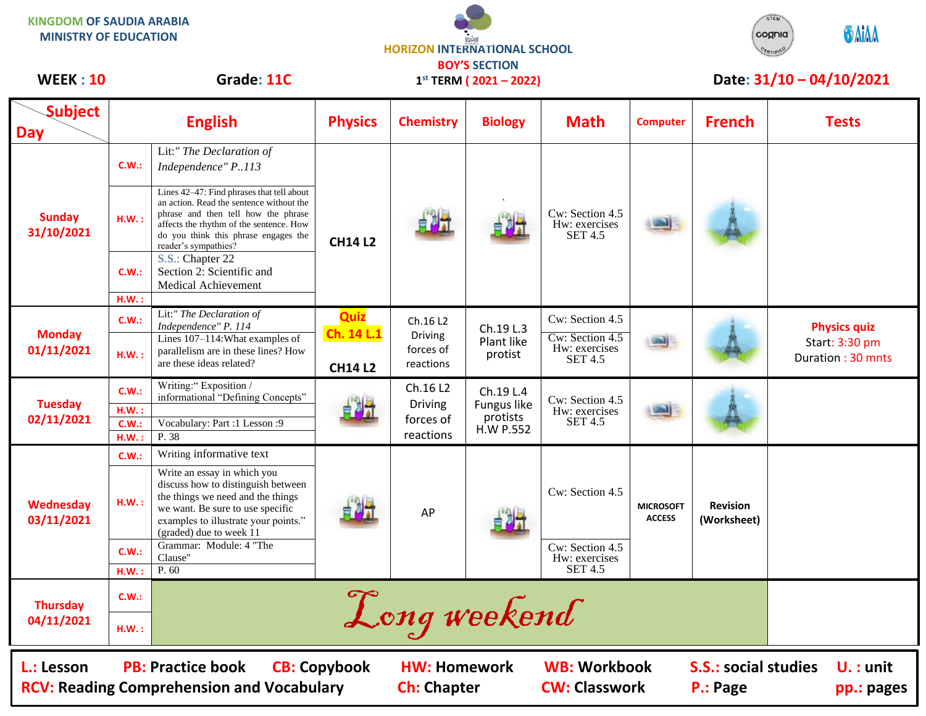| <b>KINGDOM OF SAUDIA ARABIA</b><br><b>MINISTRY OF EDUCATION</b> |                                 |                                                                                                                                                                                                                                                                                          | <b>HORIZON INTERNATIONAL SCHOOL</b><br><b>BOY'S SECTION</b> |                                               |                                                   |                                                                       |                                   |                                | STEM<br><b>OMA</b><br>cognia                               |
|-----------------------------------------------------------------|---------------------------------|------------------------------------------------------------------------------------------------------------------------------------------------------------------------------------------------------------------------------------------------------------------------------------------|-------------------------------------------------------------|-----------------------------------------------|---------------------------------------------------|-----------------------------------------------------------------------|-----------------------------------|--------------------------------|------------------------------------------------------------|
| <b>WEEK: 10</b>                                                 |                                 | Grade: 11C                                                                                                                                                                                                                                                                               | $1^{st}$ TERM ( $2021 - 2022$ )                             |                                               |                                                   |                                                                       |                                   | Date: 31/10 - 04/10/2021       |                                                            |
| <b>Subject</b><br>Day                                           |                                 | <b>English</b>                                                                                                                                                                                                                                                                           | <b>Physics</b>                                              | <b>Chemistry</b>                              | <b>Biology</b>                                    | <b>Math</b>                                                           | <b>Computer</b>                   | <b>French</b>                  | <b>Tests</b>                                               |
| <b>Sunday</b><br>31/10/2021                                     | C.W.:                           | Lit:" The Declaration of<br>Independence" P113                                                                                                                                                                                                                                           | <b>CH14 L2</b>                                              |                                               |                                                   | Cw: Section 4.5<br>Hw: exercises<br><b>SET 4.5</b>                    |                                   |                                |                                                            |
|                                                                 | H.W.:                           | Lines 42-47: Find phrases that tell about<br>an action. Read the sentence without the<br>phrase and then tell how the phrase<br>affects the rhythm of the sentence. How<br>do you think this phrase engages the<br>reader's sympathies?                                                  |                                                             |                                               |                                                   |                                                                       |                                   |                                |                                                            |
|                                                                 | C.W.:                           | S.S.: Chapter 22<br>Section 2: Scientific and<br><b>Medical Achievement</b>                                                                                                                                                                                                              |                                                             |                                               |                                                   |                                                                       |                                   |                                |                                                            |
| <b>Monday</b><br>01/11/2021                                     | H.W.:<br>C.W.:                  | Lit:" The Declaration of                                                                                                                                                                                                                                                                 | <b>Quiz</b>                                                 | Ch.16 L2                                      |                                                   | Cw: Section 4.5                                                       |                                   |                                |                                                            |
|                                                                 | H.W.:                           | Independence" P. 114<br>Lines 107-114: What examples of<br>parallelism are in these lines? How<br>are these ideas related?                                                                                                                                                               | Ch. 14 L.1<br><b>CH14 L2</b>                                | <b>Driving</b><br>forces of<br>reactions      | Ch.19 L.3<br>Plant like<br>protist                | Cw: Section 4.5<br>Hw: exercises<br><b>SET 4.5</b>                    |                                   |                                | <b>Physics quiz</b><br>Start: 3:30 pm<br>Duration: 30 mnts |
| <b>Tuesday</b><br>02/11/2021                                    | C.W.:<br>HM.:<br>C.W.:<br>H.W.: | Writing:" Exposition /<br>informational "Defining Concepts"<br>Vocabulary: Part :1 Lesson :9<br>P. 38                                                                                                                                                                                    |                                                             | Ch.16 L2<br>Driving<br>forces of<br>reactions | Ch.19 L.4<br>Fungus like<br>protists<br>H.W P.552 | Cw: Section 4.5<br>Hw: exercises<br><b>SET 4.5</b>                    |                                   |                                |                                                            |
| Wednesday<br>03/11/2021                                         | C.W.:<br>H.W.:<br>C.W.:<br>H.W. | Writing informative text<br>Write an essay in which you<br>discuss how to distinguish between<br>the things we need and the things<br>we want. Be sure to use specific<br>examples to illustrate your points."<br>(graded) due to week 11<br>Grammar: Module: 4 "The<br>Clause"<br>P. 60 |                                                             | AP                                            |                                                   | Cw: Section 4.5<br>Cw: Section 4.5<br>Hw: exercises<br><b>SET 4.5</b> | <b>MICROSOFT</b><br><b>ACCESS</b> | <b>Revision</b><br>(Worksheet) |                                                            |
| <b>Thursday</b><br>04/11/2021                                   | C.W.:<br>H.W.:                  |                                                                                                                                                                                                                                                                                          |                                                             | Long weekend                                  |                                                   |                                                                       |                                   |                                |                                                            |
| L.: Lesson                                                      |                                 | <b>PB: Practice book</b>                                                                                                                                                                                                                                                                 | <b>CB: Copybook</b>                                         | <b>HW: Homework</b>                           |                                                   | <b>WB: Workbook</b>                                                   |                                   | <b>S.S.: social studies</b>    | $U.$ : unit                                                |

RCV: Reading Comprehension and Vocabulary **Ch:** Chapter **CW: Classwork P.: Page** pp.: pages